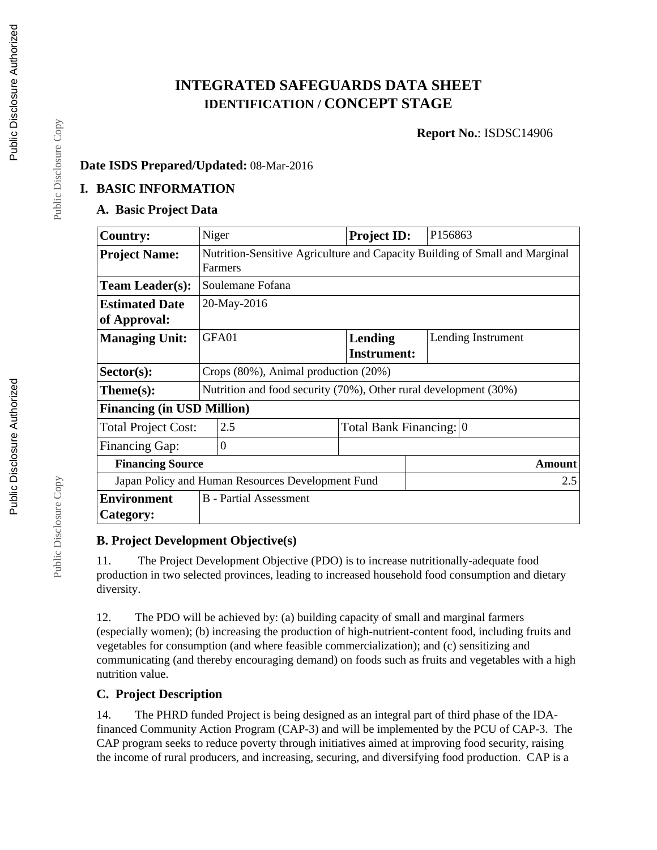# **INTEGRATED SAFEGUARDS DATA SHEET IDENTIFICATION / CONCEPT STAGE**

**Report No.**: ISDSC14906

#### **Date ISDS Prepared/Updated:** 08-Mar-2016

#### **I. BASIC INFORMATION**

#### **A. Basic Project Data**

| <b>Country:</b>                                   | Niger                                                                                  | <b>Project ID:</b> | P156863                 |  |  |
|---------------------------------------------------|----------------------------------------------------------------------------------------|--------------------|-------------------------|--|--|
| <b>Project Name:</b>                              | Nutrition-Sensitive Agriculture and Capacity Building of Small and Marginal<br>Farmers |                    |                         |  |  |
| <b>Team Leader(s):</b>                            | Soulemane Fofana                                                                       |                    |                         |  |  |
| <b>Estimated Date</b>                             | 20-May-2016                                                                            |                    |                         |  |  |
| of Approval:                                      |                                                                                        |                    |                         |  |  |
| <b>Managing Unit:</b>                             | GFA01                                                                                  | Lending            | Lending Instrument      |  |  |
|                                                   |                                                                                        | <b>Instrument:</b> |                         |  |  |
| $Sector(s)$ :                                     | Crops $(80\%)$ , Animal production $(20\%)$                                            |                    |                         |  |  |
| $Thene(s):$                                       | Nutrition and food security (70%), Other rural development (30%)                       |                    |                         |  |  |
| <b>Financing (in USD Million)</b>                 |                                                                                        |                    |                         |  |  |
| <b>Total Project Cost:</b>                        | 2.5                                                                                    |                    | Total Bank Financing: 0 |  |  |
| <b>Financing Gap:</b>                             | $\theta$                                                                               |                    |                         |  |  |
| <b>Financing Source</b>                           |                                                                                        |                    | <b>Amount</b>           |  |  |
| Japan Policy and Human Resources Development Fund |                                                                                        |                    | 2.5                     |  |  |
| <b>Environment</b>                                | <b>B</b> - Partial Assessment                                                          |                    |                         |  |  |
| Category:                                         |                                                                                        |                    |                         |  |  |

#### **B. Project Development Objective(s)**

11. The Project Development Objective (PDO) is to increase nutritionally-adequate food production in two selected provinces, leading to increased household food consumption and dietary diversity.

12. The PDO will be achieved by: (a) building capacity of small and marginal farmers (especially women); (b) increasing the production of high-nutrient-content food, including fruits and vegetables for consumption (and where feasible commercialization); and (c) sensitizing and communicating (and thereby encouraging demand) on foods such as fruits and vegetables with a high nutrition value.

### **C. Project Description**

14. The PHRD funded Project is being designed as an integral part of third phase of the IDAfinanced Community Action Program (CAP-3) and will be implemented by the PCU of CAP-3. The CAP program seeks to reduce poverty through initiatives aimed at improving food security, raising the income of rural producers, and increasing, securing, and diversifying food production. CAP is a

Public Disclosure Copy

Public Disclosure Copy

Public Disclosure Copy

Public Disclosure Copy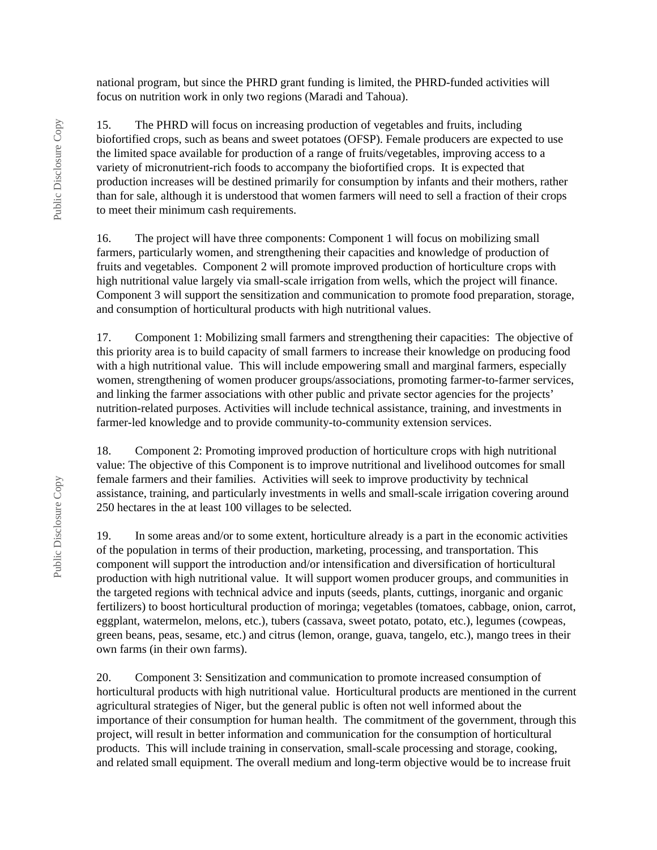national program, but since the PHRD grant funding is limited, the PHRD-funded activities will focus on nutrition work in only two regions (Maradi and Tahoua).

15. The PHRD will focus on increasing production of vegetables and fruits, including biofortified crops, such as beans and sweet potatoes (OFSP). Female producers are expected to use the limited space available for production of a range of fruits/vegetables, improving access to a variety of micronutrient-rich foods to accompany the biofortified crops. It is expected that production increases will be destined primarily for consumption by infants and their mothers, rather than for sale, although it is understood that women farmers will need to sell a fraction of their crops to meet their minimum cash requirements.

16. The project will have three components: Component 1 will focus on mobilizing small farmers, particularly women, and strengthening their capacities and knowledge of production of fruits and vegetables. Component 2 will promote improved production of horticulture crops with high nutritional value largely via small-scale irrigation from wells, which the project will finance. Component 3 will support the sensitization and communication to promote food preparation, storage, and consumption of horticultural products with high nutritional values.

17. Component 1: Mobilizing small farmers and strengthening their capacities: The objective of this priority area is to build capacity of small farmers to increase their knowledge on producing food with a high nutritional value. This will include empowering small and marginal farmers, especially women, strengthening of women producer groups/associations, promoting farmer-to-farmer services, and linking the farmer associations with other public and private sector agencies for the projects' nutrition-related purposes. Activities will include technical assistance, training, and investments in farmer-led knowledge and to provide community-to-community extension services.

18. Component 2: Promoting improved production of horticulture crops with high nutritional value: The objective of this Component is to improve nutritional and livelihood outcomes for small female farmers and their families. Activities will seek to improve productivity by technical assistance, training, and particularly investments in wells and small-scale irrigation covering around 250 hectares in the at least 100 villages to be selected.

19. In some areas and/or to some extent, horticulture already is a part in the economic activities of the population in terms of their production, marketing, processing, and transportation. This component will support the introduction and/or intensification and diversification of horticultural production with high nutritional value. It will support women producer groups, and communities in the targeted regions with technical advice and inputs (seeds, plants, cuttings, inorganic and organic fertilizers) to boost horticultural production of moringa; vegetables (tomatoes, cabbage, onion, carrot, eggplant, watermelon, melons, etc.), tubers (cassava, sweet potato, potato, etc.), legumes (cowpeas, green beans, peas, sesame, etc.) and citrus (lemon, orange, guava, tangelo, etc.), mango trees in their own farms (in their own farms).

20. Component 3: Sensitization and communication to promote increased consumption of horticultural products with high nutritional value. Horticultural products are mentioned in the current agricultural strategies of Niger, but the general public is often not well informed about the importance of their consumption for human health. The commitment of the government, through this project, will result in better information and communication for the consumption of horticultural products. This will include training in conservation, small-scale processing and storage, cooking, and related small equipment. The overall medium and long-term objective would be to increase fruit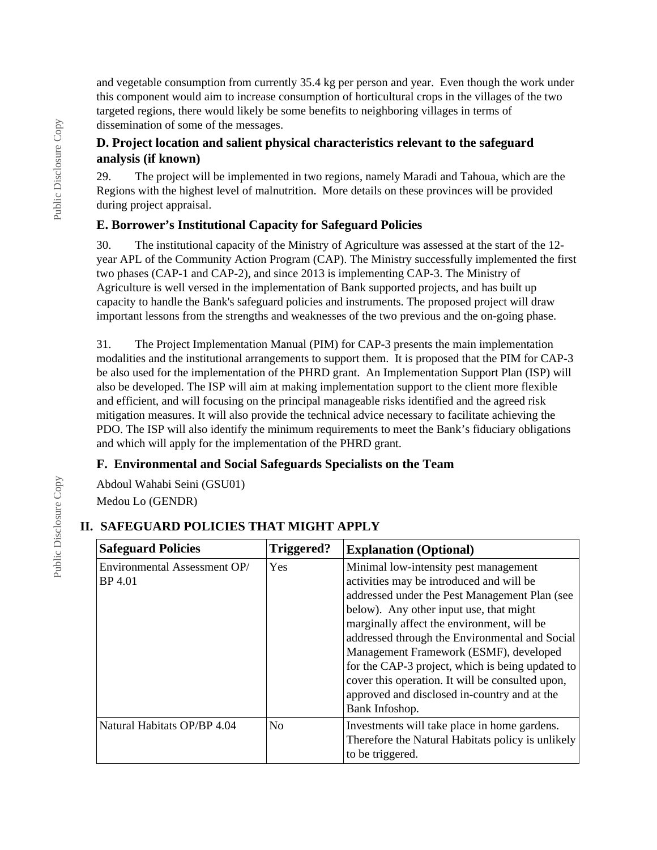and vegetable consumption from currently 35.4 kg per person and year. Even though the work under this component would aim to increase consumption of horticultural crops in the villages of the two targeted regions, there would likely be some benefits to neighboring villages in terms of dissemination of some of the messages.

#### **D. Project location and salient physical characteristics relevant to the safeguard analysis (if known)**

29. The project will be implemented in two regions, namely Maradi and Tahoua, which are the Regions with the highest level of malnutrition. More details on these provinces will be provided during project appraisal.

#### **E. Borrower's Institutional Capacity for Safeguard Policies**

30. The institutional capacity of the Ministry of Agriculture was assessed at the start of the 12 year APL of the Community Action Program (CAP). The Ministry successfully implemented the first two phases (CAP-1 and CAP-2), and since 2013 is implementing CAP-3. The Ministry of Agriculture is well versed in the implementation of Bank supported projects, and has built up capacity to handle the Bank's safeguard policies and instruments. The proposed project will draw important lessons from the strengths and weaknesses of the two previous and the on-going phase.

31. The Project Implementation Manual (PIM) for CAP-3 presents the main implementation modalities and the institutional arrangements to support them. It is proposed that the PIM for CAP-3 be also used for the implementation of the PHRD grant. An Implementation Support Plan (ISP) will also be developed. The ISP will aim at making implementation support to the client more flexible and efficient, and will focusing on the principal manageable risks identified and the agreed risk mitigation measures. It will also provide the technical advice necessary to facilitate achieving the PDO. The ISP will also identify the minimum requirements to meet the Bank's fiduciary obligations and which will apply for the implementation of the PHRD grant.

### **F. Environmental and Social Safeguards Specialists on the Team**

Abdoul Wahabi Seini (GSU01) Medou Lo (GENDR)

#### **Safeguard Policies Triggered? Explanation (Optional)** Environmental Assessment OP/ BP 4.01 Yes Minimal low-intensity pest management activities may be introduced and will be addressed under the Pest Management Plan (see below). Any other input use, that might marginally affect the environment, will be addressed through the Environmental and Social Management Framework (ESMF), developed for the CAP-3 project, which is being updated to cover this operation. It will be consulted upon, approved and disclosed in-country and at the Bank Infoshop. Natural Habitats OP/BP 4.04  $\vert$ No  $\vert$ Investments will take place in home gardens. Therefore the Natural Habitats policy is unlikely to be triggered.

#### **II. SAFEGUARD POLICIES THAT MIGHT APPLY**